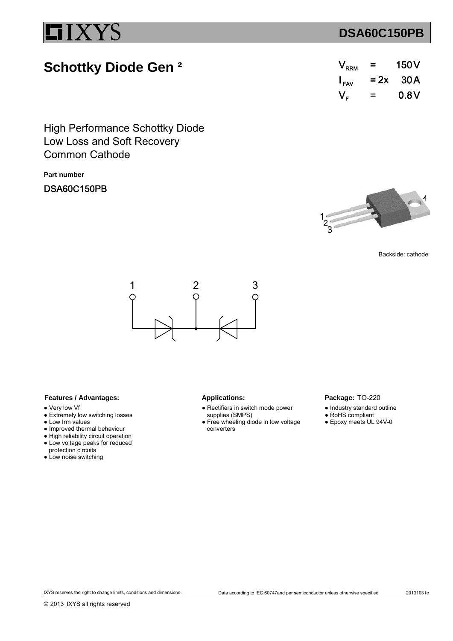## **DSA60C150PB**

# **Schottky Diode Gen ²**

| $V_{\rm RRM}$      | =      | 150 <sub>V</sub> |
|--------------------|--------|------------------|
| $I_{\mathsf{FAV}}$ | $= 2x$ | 30 A             |
| $V_{\text{F}}$     | =      | 0.8V             |

Low Loss and Soft Recovery High Performance Schottky Diode Common Cathode

**Part number**

## DSA60C150PB



Backside: cathode



### Features / Advantages: Applications:

- Very low Vf
- Extremely low switching losses
- Low Irm values
- Improved thermal behaviour
- High reliability circuit operation ● Low voltage peaks for reduced
- protection circuits
- Low noise switching

- Rectifiers in switch mode power supplies (SMPS)
- Free wheeling diode in low voltage converters

### Package: TO-220

- Industry standard outline
- RoHS compliant
- Epoxy meets UL 94V-0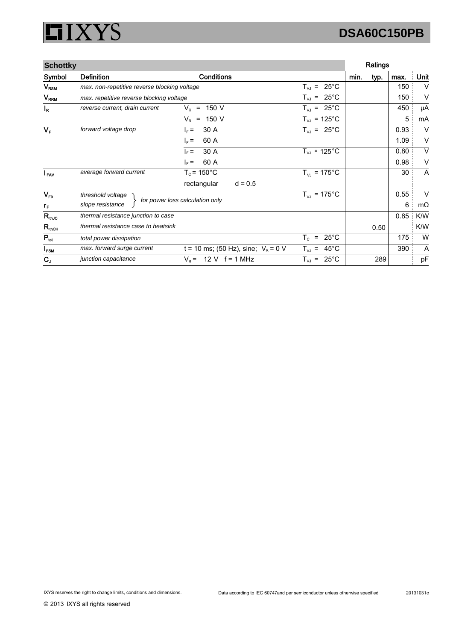### **XYS** I 51

# **DSA60C150PB**

| <b>Schottky</b>    |                                              |                                           |                                                                  | Ratings |      |      |           |
|--------------------|----------------------------------------------|-------------------------------------------|------------------------------------------------------------------|---------|------|------|-----------|
| Symbol             | <b>Definition</b>                            | <b>Conditions</b>                         |                                                                  | min.    | typ. | max. | Unit      |
| $V_{\mathsf{RSM}}$ | max. non-repetitive reverse blocking voltage |                                           | $25^{\circ}$ C<br>$T_{VJ}$ =                                     |         |      | 150  | $\vee$    |
| V <sub>RRM</sub>   | max. repetitive reverse blocking voltage     |                                           | $T_{VJ}$ = 25°C                                                  |         |      | 150  | $\vee$    |
| $I_R$              | reverse current, drain current               | 150 V<br>$V_{\rm P}$<br>$\equiv$          | $T_{VJ}$ = 25°C                                                  |         |      | 450  | μA        |
|                    |                                              | $V_R$ = 150 V                             | $T_{VJ}$ = 125°C                                                 |         |      | 5    | mA        |
| $V_F$              | forward voltage drop                         | 30 A<br>$I_F =$                           | $T_{VJ}$ = 25°C                                                  |         |      | 0.93 | V         |
|                    |                                              | 60 A<br>$I_F =$                           |                                                                  |         |      | 1.09 | V         |
|                    |                                              | 30 A<br>$\vert_{\rm F}$ =                 | $T_{VJ}$ = 125 $^{\circ}$ C                                      |         |      | 0.80 | V         |
|                    |                                              | 60 A<br>$\vert_{E}$ =                     |                                                                  |         |      | 0.98 | V         |
| $I_{\text{FAV}}$   | average forward current                      | $T_c$ = 150 $^{\circ}$ C                  | $T_{VJ}$ = 175°C                                                 |         |      | 30   | A         |
|                    |                                              | rectangular<br>$d = 0.5$                  |                                                                  |         |      |      |           |
| $V_{F0}$           | threshold voltage                            |                                           | $T_{VJ}$ = 175°C                                                 |         |      | 0.55 | $\vee$    |
| $r_{\rm F}$        | slope resistance                             | for power loss calculation only           |                                                                  |         |      | 6    | $m\Omega$ |
| $R_{th,IC}$        | thermal resistance junction to case          |                                           |                                                                  |         |      | 0.85 | K/W       |
| $R_{\rm thCH}$     | thermal resistance case to heatsink          |                                           |                                                                  |         | 0.50 |      | K/W       |
| $P_{\text{tot}}$   | total power dissipation                      |                                           | $25^{\circ}$ C<br>$\mathsf{T}_{\texttt{C}}$<br>$\qquad \qquad =$ |         |      | 175  | W         |
| $I_{FSM}$          | max. forward surge current                   | t = 10 ms; (50 Hz), sine; $V_R$ = 0 V     | $45^{\circ}$ C<br>$T_{VJ}$ =                                     |         |      | 390  | A         |
| $C_{J}$            | junction capacitance                         | $V_{\rm R} =$<br>$12 \text{ V}$ f = 1 MHz | $T_{VJ}$ = 25°C                                                  |         | 289  |      | pF        |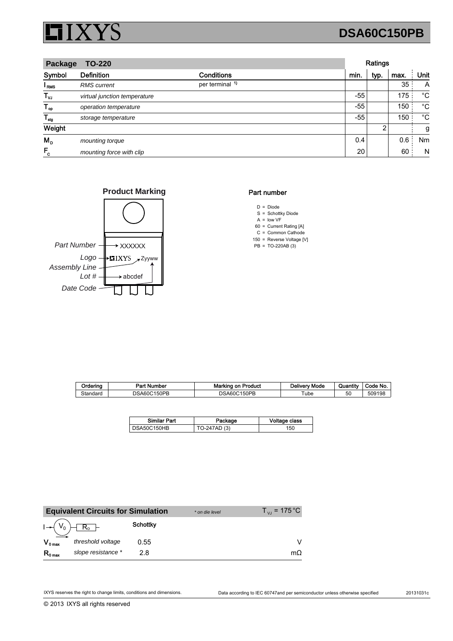

# **DSA60C150PB**

| Package<br><b>TO-220</b> |                              |                            |       | Ratings |      |             |  |
|--------------------------|------------------------------|----------------------------|-------|---------|------|-------------|--|
| Symbol                   | <b>Definition</b>            | <b>Conditions</b>          | min.  | typ.    | max. | Unit        |  |
| l <sub>RMS</sub>         | <b>RMS</b> current           | per terminal <sup>1)</sup> |       |         | 35   | A           |  |
| $T_{\nu J}$              | virtual junction temperature |                            | $-55$ |         | 175  | °C          |  |
| $T_{op}$                 | operation temperature        |                            | $-55$ |         | 150  | $^{\circ}C$ |  |
| $T_{\text{stg}}$         | storage temperature          |                            | $-55$ |         | 150  | $^{\circ}C$ |  |
| Weight                   |                              |                            |       | 2       |      | g           |  |
| $M_{\rm p}$              | mounting torque              |                            | 0.4   |         | 0.6  | Nm          |  |
| $F_c$                    | mounting force with clip     |                            | 20    |         | 60   | N           |  |





## Part number

- $D = Diode$ S = Schottky Diode
- $A =$  low VF
- 60 Current Rating [A] =
- $C =$  Common Cathode
- 150 = Reverse Voltage [V]  $PB = TO-220AB(3)$

| Ordering | Part Number     | <b>Marking on Product</b>  | Deliverv Mode | $-0.01$<br>Quantity | Code No. |
|----------|-----------------|----------------------------|---------------|---------------------|----------|
| Standard | 150PB<br>DSA60C | 150PB<br><b>NSA60</b><br>∪ | ube           | 50                  | 509198   |

| <b>Similar Part</b> | Package      | Voltage class |
|---------------------|--------------|---------------|
| DSA50C150HB         | TO-247AD (3) | 150           |

|                     | <b>Equivalent Circuits for Simulation</b> |                 | * on die level | $T_{V1}$ = 175 °C |
|---------------------|-------------------------------------------|-----------------|----------------|-------------------|
| $I \rightarrow V_0$ | $R_0$ -                                   | <b>Schottky</b> |                |                   |
| $V_{0 \text{ max}}$ | threshold voltage                         | 0.55            |                |                   |
| $R_{0 \text{ max}}$ | slope resistance *                        | 28              |                | $m\Omega$         |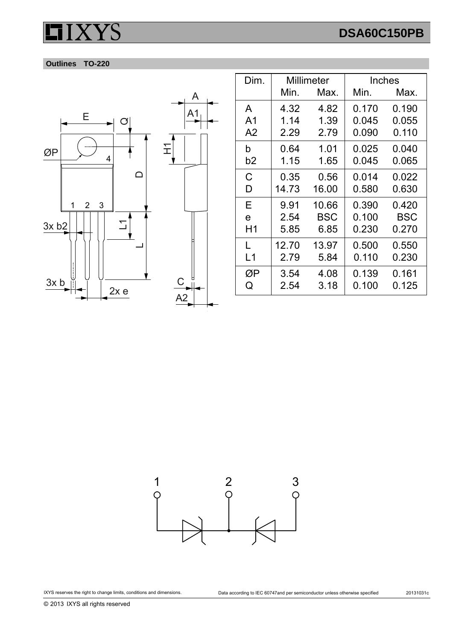# **DSA60C150PB**





| Dim.           | Millimeter |       | Inches |            |
|----------------|------------|-------|--------|------------|
|                | Min.       | Max.  | Min.   | Max.       |
| A              | 4.32       | 4.82  | 0.170  | 0.190      |
| A <sub>1</sub> | 1.14       | 1.39  | 0.045  | 0.055      |
| A <sub>2</sub> | 2.29       | 2.79  | 0.090  | 0.110      |
| b              | 0.64       | 1.01  | 0.025  | 0.040      |
| b2             | 1.15       | 1.65  | 0.045  | 0.065      |
| С              | 0.35       | 0.56  | 0.014  | 0.022      |
| D              | 14.73      | 16.00 | 0.580  | 0.630      |
| Е              | 9.91       | 10.66 | 0.390  | 0.420      |
| e              | 2.54       | BSC   | 0.100  | <b>BSC</b> |
| H1             | 5.85       | 6.85  | 0.230  | 0.270      |
| L              | 12.70      | 13.97 | 0.500  | 0.550      |
| L1             | 2.79       | 5.84  | 0.110  | 0.230      |
| ØΡ             | 3.54       | 4.08  | 0.139  | 0.161      |
| Q              | 2.54       | 3.18  | 0.100  | 0.125      |



© 2013 IXYS all rights reserved